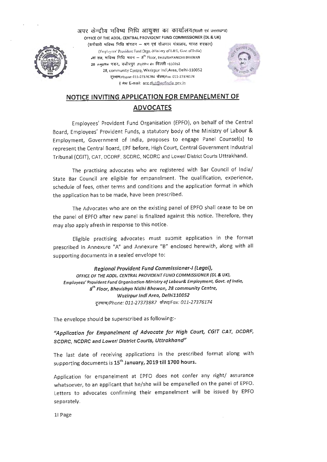

अपर केन्द्रीय भविष्य निधि आयुक्त का कार्यालय@स्ली एवं उत्तराखण्ड) OFFICE OF THE ADDL. CENTRAL PROVIDENT FUND COMMISSIONER (DL & UK)<br>- (कर्मचारी मविष्य निधि संगठन — श्रम एवं रोजगार मंत्रालय, मारत सरकार) (Employees' Provident Fund Orgn.-Ministry of L&E, Govt of India)  $_s$ वां तल, मविष्य निधि मवन -- 8<sup>th</sup> Floor, BHAVISHYANIDHI BHAWAN 28 समुदायिक भवन, वजीरपुर औदयोगिक क्षेत्र दिल्ली -110052 28, community Centre, Wazirpur lndl,Area, Delhi-110052 दूरभाष/Phone: 011-27376784 फैक्स/Fax: 011-27376174 *t* mi1 E-mail: ace dlut@epfindia.gov in



# **NOTICE INVITING APPLICATION FOR EMPANELMENT OF ADVOCATES**

Employees' Provident Fund Organisation (EPFO), on behalf of the Central Board, Employees' Provident Funds, a statutory body of the Ministry of Labour & Employment, Government of India, proposes to engage Panel Counsel(s) to represent the Central Board, EPF before, High Court, Central Government Industrial Tribunal {CGIT), CAT, DCDRF, SCDRC, NCDRC and Lower/ District Courts Uttrakhand.

The practising advocates who are registered with Bar Council of India/ State Bar Council are eligible for empanelment. The qualification, experience, schedule of fees, other terms and conditions and the application format in which the application has to be made, have been prescribed.

The Advocates who are on the existing panel of EPFO shall cease to be on the panel of EPFO after new panel is finalized against this notice. Therefore, they may also apply afresh in response to this notice.

Eligible practising advocates must submit application in the format prescribed in Annexure "A" and Annexure "B" enclosed herewith, along with all supporting documents in a sealed envelope to:

**Regional Provident Fund Commissioner-I (Legal},**  OFFICE OF THE **ADDL. CENTRAL PROVIDENT FUND COMMISSIONER (DL** & **UK), Employees' Provident** Fund **Organisation-Ministry of Labour& Employment, Govt. of India,**  8th Floor, Bhavishya Nidhi Bhawan, 28 community Centre, Wazirpur Indl Area, Delhi110052 दूरमाष/Phone: 011-27373887 फ़ैक्स/Fax: 011-27376174

The envelope should be superscribed as following:-

"Application for Empanelment of Advocate for High Court, CGIT CAT, DCDRF, **SCDRC, NCDRC and Lower! District Courts, Uttrakhand"** 

The last date of receiving applications in the prescribed format along with supporting documents is 15th **January, 2019 till 1700 hours.** 

Application for empanelment at EPFO does not confer any right/ assurance whatsoever, to an applicant that he/she will be empanelled on the panel of EPFO. Letters to advocates confirming their empanelment will be issued by EPFO separately.

11 Page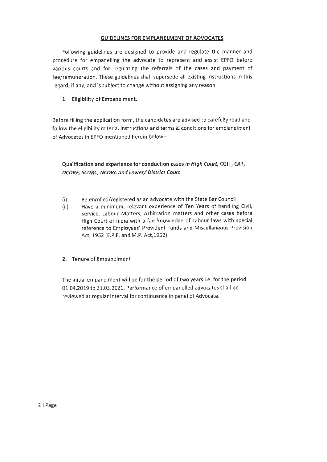### **GUIDELINES FOR EMPLANELMENT OF ADVOCATES**

Following guidelines are designed to provide and regulate the manner and procedure for empanelling the advocate to represent and assist EPFO before various courts and for regulating the referrals of the cases and payment of fee/remuneration. These guidelines shall supersede all existing instructions in this regard, if any, and is subject to change without assigning any reason.

**1. Eligibility of Empanelment.** 

Before filling the application form, the candidates are advised to carefully read and follow the eligibility criteria, instructions and terms & conditions for emplanelment of Advocates in EPFO mentioned herein below:-

**Qualification and experience for conduction cases in High Court, CGIT, CAT, DCDRF, SCDRC, NCDRC and Lower/ District Court** 

- (i) Be enrolled/registered as an advocate with the State Bar Council
- (ii) Have a minimum, relevant experience of Ten Years of handling Civil, Service, Labour Matters, Arbitration matters and other cases before High Court of India with a fair knowledge of Labour laws with special reference to Employees' Provident Funds and Miscellaneous Provision Act, 1952 (E.P.F. and M.P. Act,1952).

## **2. Tenure of Empanelment**

The initial empanelment will be for the period of two years i.e. for the period 01.04.2019 to 31.03.2021. Performance of empanelled advocates shall be reviewed at regular interval for continuance in panel of Advocate.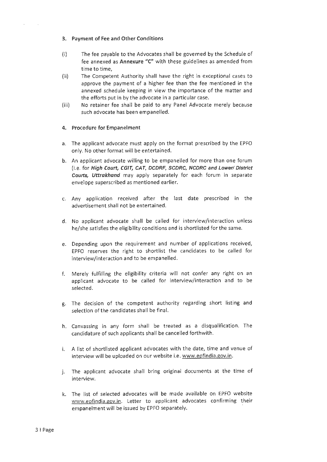#### 3. Payment of Fee and Other Conditions

- (i) The fee payable to the Advocates shall be governed by the Schedule of fee annexed as **Annexure "C"** with these guidelines as amended from time to time,
- (ii) The Competent Authority shall have the right in exceptional cases to approve the payment of a higher fee than the fee mentioned in the annexed schedule keeping in view the importance of the matter and the efforts put in by the advocate in a particular case.
- (iii) No retainer fee shall be paid to any Panel Advocate merely because such advocate has been empanelled.

#### **4. Procedure for Empanelment**

- a. The applicant advocate must apply on the format prescribed by the EPFO only. No other format will be entertained.
- b. An applicant advocate willing to be empanelled for more than one forum (i.e. for **High Court, CG/T, CAT, DCDRF, SCDRC, NCDRC and Lower! District Courts, Uttrakhand** may apply separately for each forum in separate envelope superscribed as mentioned earlier.
- c. Any application received after the last date prescribed in the advertisement shall not be entertained.
- d. No applicant advocate shall be called for interview/interaction unless he/she satisfies the eligibility conditions and is shortlisted for the same.
- e. Depending upon the requirement and number of applications received, EPFO reserves the right to shortlist the candidates to be called for interview/interaction and to be empanelled.
- f. Merely fulfilling the eligibility criteria will not confer any right on an applicant advocate to be called for interview/interaction and to be selected.
- g. The decision of the competent authority regarding short listing and selection of the candidates shall be final.
- h. Canvassing in any form shall be treated as a disqualification. The candidature of such applicants shall be cancelled forthwith.
- i. A list of shortlisted applicant advocates with the date, time and venue of interview will be uploaded on our website i.e. www.epfindia.gov.in.
- j. The applicant advocate shall bring original documents at the time of interview.
- k. The list of selected advocates will be made available on EPFO website www.epfindia.gov.in. Letter to applicant advocates confirming their empanelment will be issued by EPFO separately.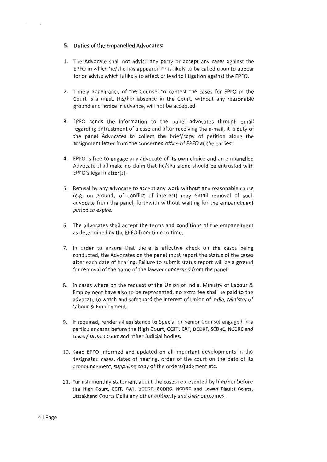#### **5. Duties of the Empanelled Advocates:**

- 1. The Advocate shall not advise any party or accept any cases against the EPFO in which he/she has appeared or is likely to be called upon to appear for or advise which is likely to affect or lead to litigation against the EPFO.
- 2. Timely appearance of the Counsel to contest the cases for EPFO in the Court is a must. His/her absence in the Court, without any reasonable ground and notice in advance, will not be accepted.
- 3. EPFO sends the information to the panel advocates through email regarding entrustment of a case and after receiving the e-mail, it is duty of the panel Advocates to collect the brief/copy of petition along the assignment letter from the concerned office of EPFO at the earliest.
- 4. EPFO is free to engage any advocate of its own choice and an empanelled Advocate shall make no claim that he/she alone should be entrusted with EPFO's legal matter(s).
- 5. Refusal by any advocate to accept any work without any reasonable cause (e.g. on grounds of conflict of interest) may entail removal of such advocate from the panel, forthwith without waiting for the empanelment period to expire.
- 6. The advocates shall accept the terms and conditions of the empanelment as determined by the EPFO from time to time.
- 7. In order to ensure that there is effective check on the cases being conducted, the Advocates on the panel must report the status of the cases after each date of hearing. Failure to submit status report will be a ground for removal of the name of the lawyer concerned from the panel.
- 8. In cases where on the request of the Union of India, Ministry of Labour & Employment have also to be represented, no extra fee shall be paid to the advocate to watch and safeguard the interest of Union of India, Ministry of Labour & Employment.
- 9. If required, render all assistance to Special or Senior Counsel engaged in a particular cases before the High Court, CGIT, CAT, DCDRF, SCDRC, NCDRC and Lower/ District Court and other Judicial bodies.
- 10. Keep EPFO informed and updated on all-important developments in the designated cases, dates of hearing, order of the court on the date of its pronouncement, supplying copy of the orders/judgment etc.
- 11. Furnish monthly statement about the cases represented by him/her before the High Court, CGIT, CAT, DCDRF, SCDRC, NCDRC and Lower/ District Courts, Uttrakhand Courts Delhi any other authority and their outcomes.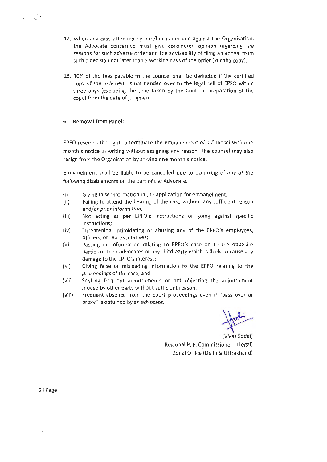- 12. When any case attended by him/her is decided against the Organisation, the Advocate concerned must give considered opinion regarding the reasons for such adverse order and the advisability of filing an appeal from such a decision not later than 5 working days of the order (kuchha copy).
- 13. 30% of the fees payable to the counsel shall be deducted if the certified copy of the judgment is not handed over to the legal cell of EPFO within three days (excluding the time taken by the Court in preparation of the copy) from the date of judgment.

#### **6. Removal from Panel:**

EPFO reserves the right to terminate the empanelment of a Counsel with one month's notice in writing without assigning any reason. The counsel may also resign from the Organisation by serving one month's notice.

Empanelment shall be liable to be cancelled due to occurring of any of the following disablements on the part of the Advocate.

- (i) Giving false information in the application for empanelment;
- (ii) Failing to attend the hearing of the case without any sufficient reason and/or prior information;
- (iii) Not acting as per EPFO's instructions or going against specific instructions;
- (iv) Threatening, intimidating or abusing any of the EPFO's employees, officers, or representatives;
- (v) Passing on information relating to EPFO's case on to the opposite parties or their advocates or any third party which is likely to cause any damage to the EPFO's interest;
- (vi) Giving false or misleading information to the EPFO relating to the proceedings of the case; and
- (vii) Seeking frequent adjournments or not objecting the adjournment moved by other party without sufficient reason.
- (viii) Frequent absence from the court proceedings even if "pass over or proxy" is obtained by an advocate.

 $\sqrt{b^2}$ 

Regional P. F. Commissioner-I (Legal) Zonal Office (Delhi & Uttrakhand)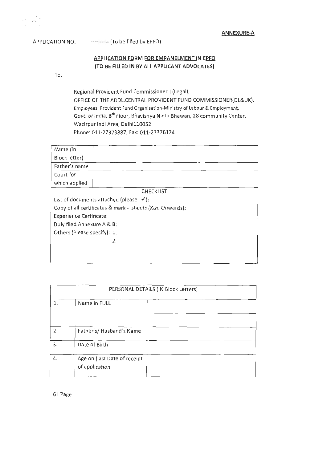APPLICATION NO. ----------------- (Tobe filled by EPFO)

# **APPLICATION FORM FOR EMPANELMENT IN EPFO (TO BE FILLED IN BY ALL APPLICANT ADVOCATES)**

To,

Regional Provident Fund Commissioner-I (Legal), OFFICE OF THE ADDL.CENTRAL PROVIDENT FUND COMMISSIONER(DL&UK), Employees' Provident Fund Organisation-Ministry of Labour & Employment, Govt. of India, 8<sup>th</sup> Floor, Bhavishya Nidhi Bhawan, 28 community Center, Wazirpur lndl Area, Delhi110052 Phone:011-27373887, Fax:011-27376174

| Name (In                                                 |                                                    |  |
|----------------------------------------------------------|----------------------------------------------------|--|
| Block letter)                                            |                                                    |  |
| Father's name                                            |                                                    |  |
| Court for                                                |                                                    |  |
| which applied                                            |                                                    |  |
|                                                          | <b>CHECKLIST</b>                                   |  |
|                                                          | List of documents attached (please $\checkmark$ ): |  |
| Copy of all certificates & mark - sheets (Xth. Onwards): |                                                    |  |
| <b>Experience Certificate:</b>                           |                                                    |  |
| Duly filed Annexure A & B:                               |                                                    |  |
| Others (Please specify): 1.                              |                                                    |  |
|                                                          | 2.                                                 |  |
|                                                          |                                                    |  |
|                                                          |                                                    |  |

| PERSONAL DETAILS (IN Block Letters) |                                                |  |  |  |
|-------------------------------------|------------------------------------------------|--|--|--|
| 1.                                  | Name in FULL                                   |  |  |  |
|                                     |                                                |  |  |  |
| 2.                                  | Father's/Husband's Name                        |  |  |  |
| 3.                                  | Date of Birth                                  |  |  |  |
| 4.                                  | Age on (last Date of receipt<br>of application |  |  |  |

6 1 Page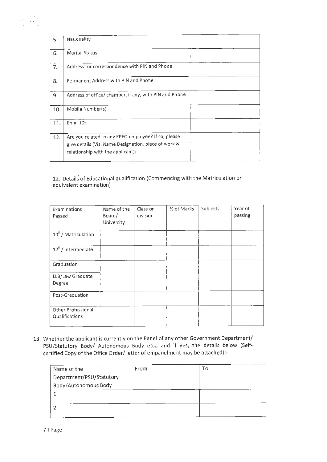| 5.  | Nationality                                                                                                                                      |  |
|-----|--------------------------------------------------------------------------------------------------------------------------------------------------|--|
| 6.  | Marital Status                                                                                                                                   |  |
| 7.  | Address for correspondence with PIN and Phone                                                                                                    |  |
| 8.  | Permanent Address with PIN and Phone                                                                                                             |  |
| 9.  | Address of office/ chamber, if any, with PIN and Phone                                                                                           |  |
| 10. | Mobile Number(s)                                                                                                                                 |  |
| 11. | Email ID:                                                                                                                                        |  |
| 12. | Are you related to any EPFO employee? If so, please<br>give details (Viz. Name Designation, place of work &<br>relationship with the applicant): |  |

12. Details of Educational qualification (Commencing with the Matriculation or equivalent examination)

| Examinations<br>Passed               | Name of the<br>Board/<br>University | Class or<br>division | % of Marks | Subjects | Year of<br>passing |
|--------------------------------------|-------------------------------------|----------------------|------------|----------|--------------------|
| 10 <sup>th</sup> / Matriculation     |                                     |                      |            |          |                    |
| 12 <sup>th</sup> / Intermediate      |                                     |                      |            |          |                    |
| Graduation                           |                                     |                      |            |          |                    |
| LLB/Law Graduate<br>Degree           |                                     |                      |            |          |                    |
| Post-Graduation                      |                                     |                      |            |          |                    |
| Other Professional<br>Qualifications |                                     |                      |            |          |                    |

13. Whether the applicant is currently on the Panel of any other Government Department/ PSU/Statutory Body/ Autonomous Body etc., and if yes, the details below (Selfcertified Copy of the Office Order/ letter of empanelment may be attached):-

| Name of the              | From | то |
|--------------------------|------|----|
| Department/PSU/Statutory |      |    |
| Body/Autonomous Body     |      |    |
|                          |      |    |
|                          |      |    |
|                          |      |    |
|                          |      |    |

 $\mathbb{R}^{\frac{1}{2} \times 1}$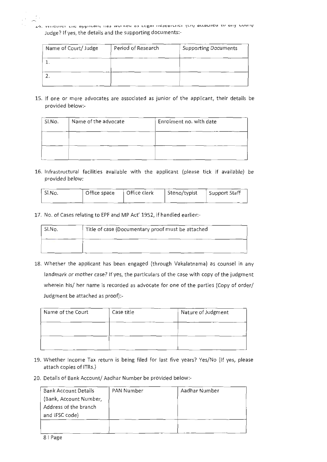י דלי וואווכוווכו נווכ מפולוויסוור ווסף אתחולת מף דבלמו ווכף במרווכו לדוו מרומרווכח וה מווא ההתול Judge? If yes, the details and the supporting documents:-

| Name of Court/ Judge | Period of Research | <b>Supporting Documents</b> |
|----------------------|--------------------|-----------------------------|
|                      |                    |                             |
|                      |                    |                             |

15. If one or more advocates are associated as junior of the applicant, their details be provided below:-

| Sl.No. | Name of the advocate | Enrolment no. with date |
|--------|----------------------|-------------------------|
|        |                      |                         |
|        |                      |                         |

16. Infrastructural facilities available with the applicant (please tick if available) be provided below:

| Sl.No. | Office space | Office clerk | Steno/typist | Support Staff |
|--------|--------------|--------------|--------------|---------------|
|        |              |              |              |               |

17. No. of Cases relating to EPF and MP Act' 1952, if handled earlier:-

| ' SI.No. | Title of case (Documentary proof must be attached |  |
|----------|---------------------------------------------------|--|
|          |                                                   |  |

18. Whether the applicant has been engaged (through Vakalatnama) as counsel in any landmark or mother case? If yes, the particulars of the case with copy of the judgment wherein his/ her name is recorded as advocate for one of the parties (Copy of order/ Judgment be attached as proof):-

| Name of the Court | Case title | Nature of Judgment |
|-------------------|------------|--------------------|
|                   |            |                    |
|                   |            |                    |

- 19. Whether Income Tax return is being filed for last five years? Yes/No (If yes, please attach copies of ITRs.)
- 20. Details of Bank Account/ Aadhar Number be provided below:-

| <b>Bank Account Details</b> | PAN Number | Aadhar Number |
|-----------------------------|------------|---------------|
| (Bank, Account Number,      |            |               |
| Address of the branch       |            |               |
| and IFSC code)              |            |               |
|                             |            |               |
|                             |            |               |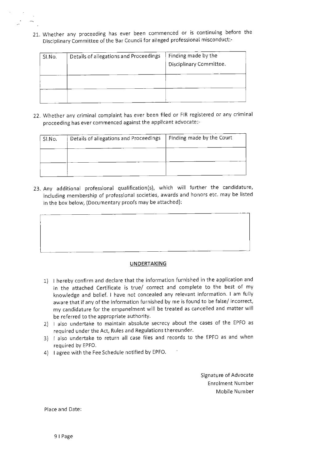21. Whether any proceeding has ever been commenced or is continuing before the Disciplinary Committee of the Bar Council for alleged professional misconduct:-

| SI.No. | Details of allegations and Proceedings | Finding made by the<br>Disciplinary Committee. |
|--------|----------------------------------------|------------------------------------------------|
|        |                                        |                                                |
|        |                                        |                                                |

22. Whether any criminal complaint has ever been filed or FIR registered or any criminal proceeding has ever commenced against the applicant advocate:-

| SI.No. | Details of allegations and Proceedings | Finding made by the Court |
|--------|----------------------------------------|---------------------------|
|        |                                        |                           |
|        |                                        |                           |

23. Any additional professional qualification(s), which will further the candidature, including membership of professional societies, awards and honors etc. may be listed in the box below, (Documentary proofs may be attached):



- 1) I hereby confirm and declare that the information furnished in the application and in the attached Certificate is true/ correct and complete to the best of my knowledge and belief. I have not concealed any relevant information. I am fully aware that if any of the information furnished by me is found to be false/ incorrect, my candidature for the empanelment will be treated as cancelled and matter will be referred to the appropriate authority.
- 2) I also undertake to maintain absolute secrecy about the cases of the EPFO as required under the Act, Rules and Regulations thereunder.
- 3) I also undertake to return all case files and records to the EPFO as and when required by EPFO.
- 4) I agree with the Fee Schedule notified by EPFO.

Signature of Advocate Enrolment Number Mobile Num ber

Place and Date: